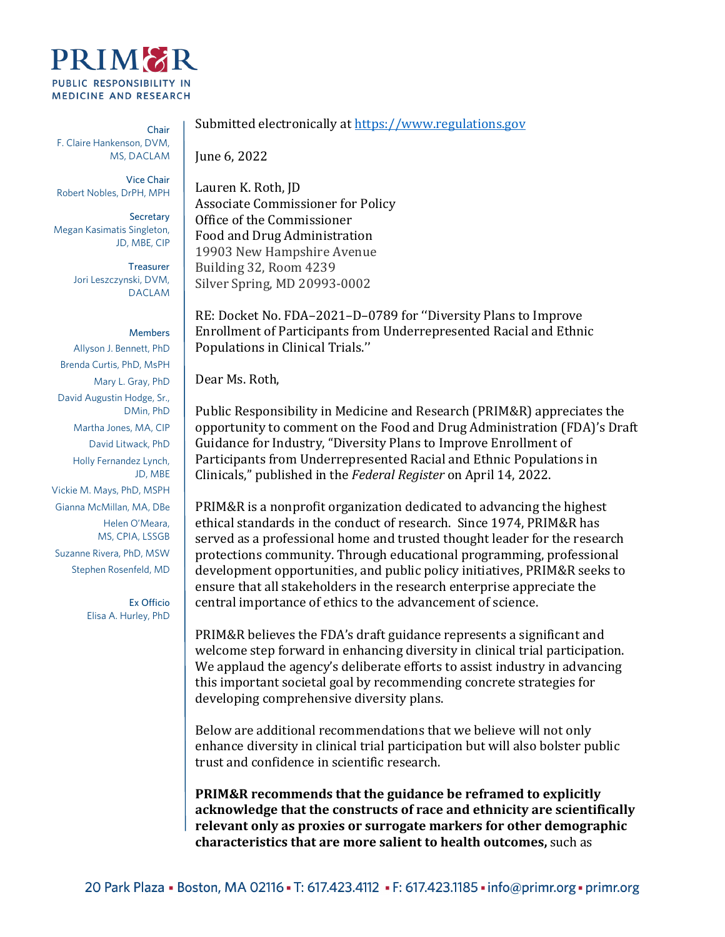

Chair F. Claire Hankenson, DVM, MS, DACLAM

Vice Chair Robert Nobles, DrPH, MPH

Secretary Megan Kasimatis Singleton, JD, MBE, CIP

> **Treasurer** Jori Leszczynski, DVM, DACLAM

Members Allyson J. Bennett, PhD Brenda Curtis, PhD, MsPH Mary L. Gray, PhD David Augustin Hodge, Sr., DMin, PhD Martha Jones, MA, CIP David Litwack, PhD Holly Fernandez Lynch, JD, MBE Vickie M. Mays, PhD, MSPH Gianna McMillan, MA, DBe Helen O'Meara, MS, CPIA, LSSGB Suzanne Rivera, PhD, MSW Stephen Rosenfeld, MD

> Ex Officio Elisa A. Hurley, PhD

Submitted electronically a[t https://www.regulations.gov](https://www.regulations.gov/)

June 6, 2022

Lauren K. Roth, JD Associate Commissioner for Policy Office of the Commissioner Food and Drug Administration 19903 New Hampshire Avenue Building 32, Room 4239 Silver Spring, MD 20993-0002

RE: Docket No. FDA–2021–D–0789 for ''Diversity Plans to Improve Enrollment of Participants from Underrepresented Racial and Ethnic Populations in Clinical Trials.''

Dear Ms. Roth,

Public Responsibility in Medicine and Research (PRIM&R) appreciates the opportunity to comment on the Food and Drug Administration (FDA)'s Draft Guidance for Industry, "Diversity Plans to Improve Enrollment of Participants from Underrepresented Racial and Ethnic Populations in Clinicals," published in the *Federal Register* on April 14, 2022.

PRIM&R is a nonprofit organization dedicated to advancing the highest ethical standards in the conduct of research. Since 1974, PRIM&R has served as a professional home and trusted thought leader for the research protections community. Through educational programming, professional development opportunities, and public policy initiatives, PRIM&R seeks to ensure that all stakeholders in the research enterprise appreciate the central importance of ethics to the advancement of science.

PRIM&R believes the FDA's draft guidance represents a significant and welcome step forward in enhancing diversity in clinical trial participation. We applaud the agency's deliberate efforts to assist industry in advancing this important societal goal by recommending concrete strategies for developing comprehensive diversity plans.

Below are additional recommendations that we believe will not only enhance diversity in clinical trial participation but will also bolster public trust and confidence in scientific research.

**PRIM&R recommends that the guidance be reframed to explicitly acknowledge that the constructs of race and ethnicity are scientifically relevant only as proxies or surrogate markers for other demographic characteristics that are more salient to health outcomes,** such as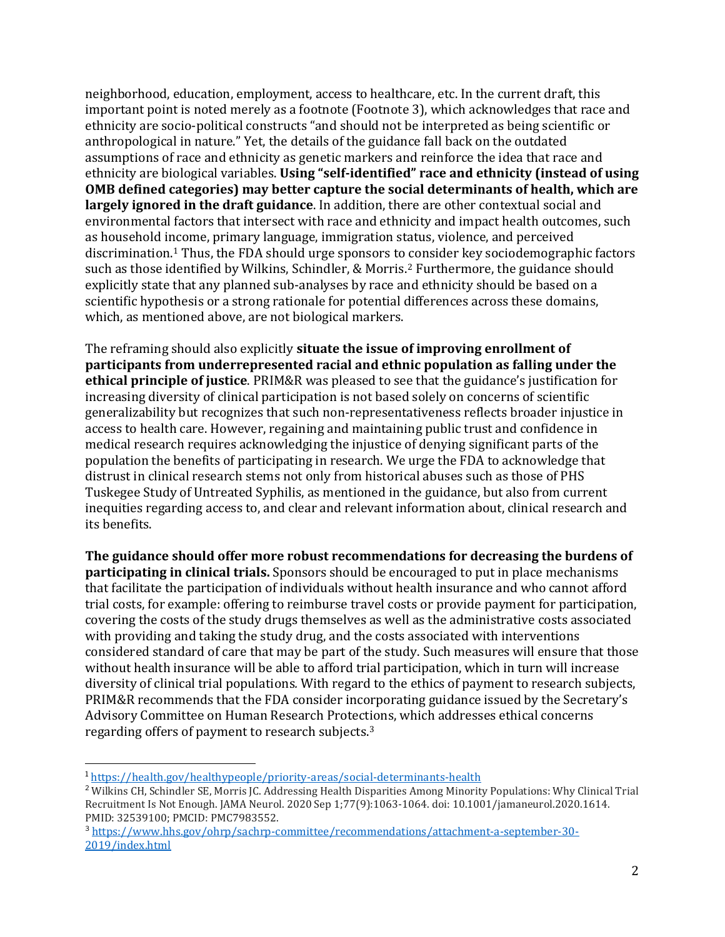neighborhood, education, employment, access to healthcare, etc. In the current draft, this important point is noted merely as a footnote (Footnote 3), which acknowledges that race and ethnicity are socio-political constructs "and should not be interpreted as being scientific or anthropological in nature." Yet, the details of the guidance fall back on the outdated assumptions of race and ethnicity as genetic markers and reinforce the idea that race and ethnicity are biological variables. **Using "self-identified" race and ethnicity (instead of using OMB defined categories) may better capture the social determinants of health, which are largely ignored in the draft guidance**. In addition, there are other contextual social and environmental factors that intersect with race and ethnicity and impact health outcomes, such as household income, primary language, immigration status, violence, and perceived discrimination. [1](#page-1-0) Thus, the FDA should urge sponsors to consider key sociodemographic factors such as those identified by Wilkins, Schindler, & Morris. [2](#page-1-1) Furthermore, the guidance should explicitly state that any planned sub-analyses by race and ethnicity should be based on a scientific hypothesis or a strong rationale for potential differences across these domains, which, as mentioned above, are not biological markers.

The reframing should also explicitly **situate the issue of improving enrollment of participants from underrepresented racial and ethnic population as falling under the ethical principle of justice**. PRIM&R was pleased to see that the guidance's justification for increasing diversity of clinical participation is not based solely on concerns of scientific generalizability but recognizes that such non-representativeness reflects broader injustice in access to health care. However, regaining and maintaining public trust and confidence in medical research requires acknowledging the injustice of denying significant parts of the population the benefits of participating in research. We urge the FDA to acknowledge that distrust in clinical research stems not only from historical abuses such as those of PHS Tuskegee Study of Untreated Syphilis, as mentioned in the guidance, but also from current inequities regarding access to, and clear and relevant information about, clinical research and its benefits.

**The guidance should offer more robust recommendations for decreasing the burdens of participating in clinical trials.** Sponsors should be encouraged to put in place mechanisms that facilitate the participation of individuals without health insurance and who cannot afford trial costs, for example: offering to reimburse travel costs or provide payment for participation, covering the costs of the study drugs themselves as well as the administrative costs associated with providing and taking the study drug, and the costs associated with interventions considered standard of care that may be part of the study. Such measures will ensure that those without health insurance will be able to afford trial participation, which in turn will increase diversity of clinical trial populations*.* With regard to the ethics of payment to research subjects, PRIM&R recommends that the FDA consider incorporating guidance issued by the Secretary's Advisory Committee on Human Research Protections, which addresses ethical concerns regarding offers of payment to research subjects. [3](#page-1-2)

<span id="page-1-1"></span><span id="page-1-0"></span><sup>&</sup>lt;sup>1</sup> <https://health.gov/healthypeople/priority-areas/social-determinants-health><br><sup>2</sup> Wilkins CH, Schindler SE, Morris JC. Addressing Health Disparities Among Minority Populations: Why Clinical Trial Recruitment Is Not Enough. JAMA Neurol. 2020 Sep 1;77(9):1063-1064. doi: 10.1001/jamaneurol.2020.1614. PMID: 32539100; PMCID: PMC7983552.

<span id="page-1-2"></span><sup>3</sup> [https://www.hhs.gov/ohrp/sachrp-committee/recommendations/attachment-a-september-30-](https://www.hhs.gov/ohrp/sachrp-committee/recommendations/attachment-a-september-30-2019/index.html) [2019/index.html](https://www.hhs.gov/ohrp/sachrp-committee/recommendations/attachment-a-september-30-2019/index.html)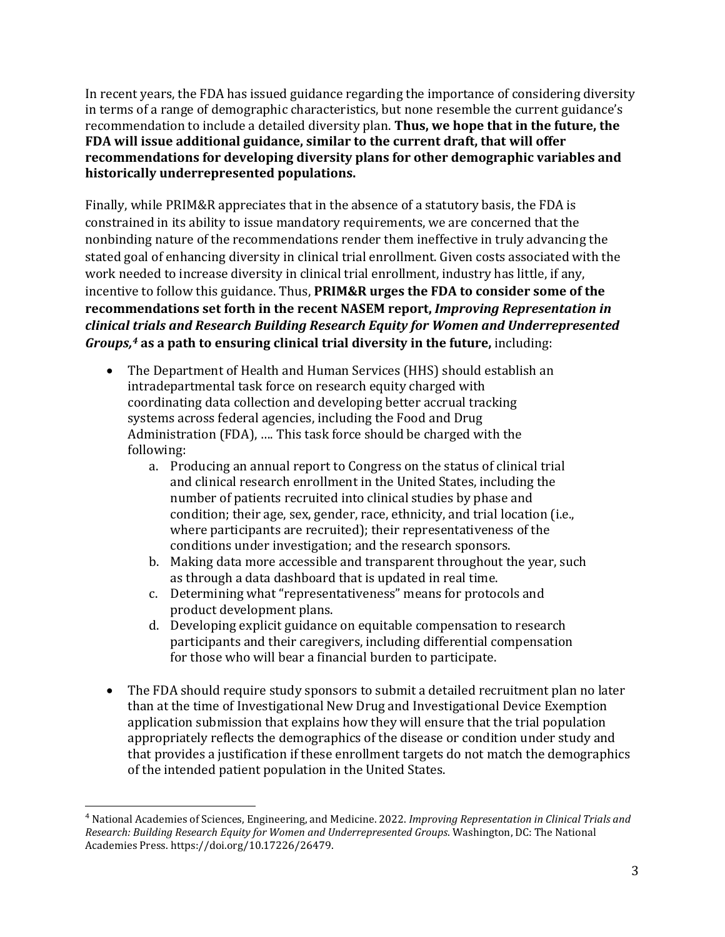In recent years, the FDA has issued guidance regarding the importance of considering diversity in terms of a range of demographic characteristics, but none resemble the current guidance's recommendation to include a detailed diversity plan. **Thus, we hope that in the future, the FDA will issue additional guidance, similar to the current draft, that will offer recommendations for developing diversity plans for other demographic variables and historically underrepresented populations.**

Finally, while PRIM&R appreciates that in the absence of a statutory basis, the FDA is constrained in its ability to issue mandatory requirements, we are concerned that the nonbinding nature of the recommendations render them ineffective in truly advancing the stated goal of enhancing diversity in clinical trial enrollment. Given costs associated with the work needed to increase diversity in clinical trial enrollment, industry has little, if any, incentive to follow this guidance. Thus, **PRIM&R urges the FDA to consider some of the recommendations set forth in the recent NASEM report,** *Improving Representation in clinical trials and Research Building Research Equity for Women and Underrepresented Groups, [4](#page-2-0)* **as a path to ensuring clinical trial diversity in the future,** including:

- The Department of Health and Human Services (HHS) should establish an intradepartmental task force on research equity charged with coordinating data collection and developing better accrual tracking systems across federal agencies, including the Food and Drug Administration (FDA), …. This task force should be charged with the following:
	- a. Producing an annual report to Congress on the status of clinical trial and clinical research enrollment in the United States, including the number of patients recruited into clinical studies by phase and condition; their age, sex, gender, race, ethnicity, and trial location (i.e., where participants are recruited); their representativeness of the conditions under investigation; and the research sponsors.
	- b. Making data more accessible and transparent throughout the year, such as through a data dashboard that is updated in real time.
	- c. Determining what "representativeness" means for protocols and product development plans.
	- d. Developing explicit guidance on equitable compensation to research participants and their caregivers, including differential compensation for those who will bear a financial burden to participate.
- The FDA should require study sponsors to submit a detailed recruitment plan no later than at the time of Investigational New Drug and Investigational Device Exemption application submission that explains how they will ensure that the trial population appropriately reflects the demographics of the disease or condition under study and that provides a justification if these enrollment targets do not match the demographics of the intended patient population in the United States.

<span id="page-2-0"></span><sup>4</sup> National Academies of Sciences, Engineering, and Medicine. 2022. *Improving Representation in Clinical Trials and Research: Building Research Equity for Women and Underrepresented Groups*. Washington, DC: The National Academies Press. https://doi.org/10.17226/26479.